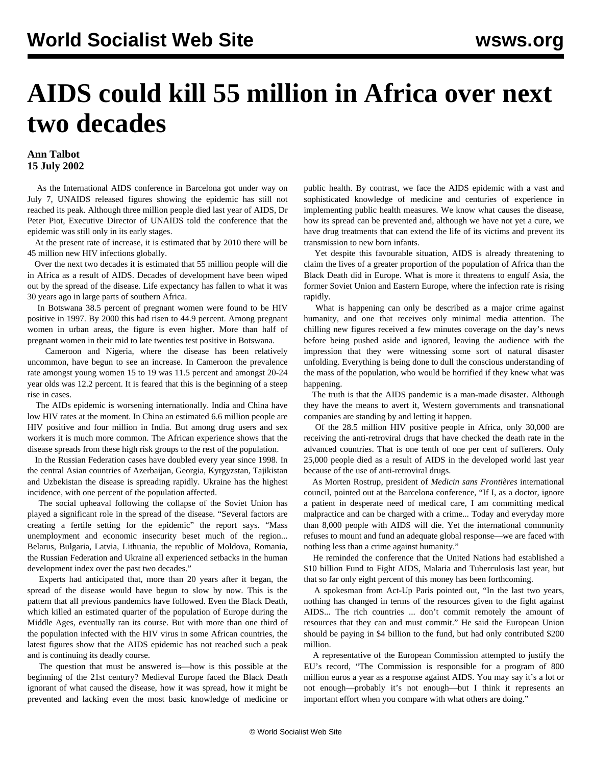## **AIDS could kill 55 million in Africa over next two decades**

## **Ann Talbot 15 July 2002**

 As the International AIDS conference in Barcelona got under way on July 7, UNAIDS released figures showing the epidemic has still not reached its peak. Although three million people died last year of AIDS, Dr Peter Piot, Executive Director of UNAIDS told the conference that the epidemic was still only in its early stages.

 At the present rate of increase, it is estimated that by 2010 there will be 45 million new HIV infections globally.

 Over the next two decades it is estimated that 55 million people will die in Africa as a result of AIDS. Decades of development have been wiped out by the spread of the disease. Life expectancy has fallen to what it was 30 years ago in large parts of southern Africa.

 In Botswana 38.5 percent of pregnant women were found to be HIV positive in 1997. By 2000 this had risen to 44.9 percent. Among pregnant women in urban areas, the figure is even higher. More than half of pregnant women in their mid to late twenties test positive in Botswana.

 Cameroon and Nigeria, where the disease has been relatively uncommon, have begun to see an increase. In Cameroon the prevalence rate amongst young women 15 to 19 was 11.5 percent and amongst 20-24 year olds was 12.2 percent. It is feared that this is the beginning of a steep rise in cases.

 The AIDs epidemic is worsening internationally. India and China have low HIV rates at the moment. In China an estimated 6.6 million people are HIV positive and four million in India. But among drug users and sex workers it is much more common. The African experience shows that the disease spreads from these high risk groups to the rest of the population.

 In the Russian Federation cases have doubled every year since 1998. In the central Asian countries of Azerbaijan, Georgia, Kyrgyzstan, Tajikistan and Uzbekistan the disease is spreading rapidly. Ukraine has the highest incidence, with one percent of the population affected.

 The social upheaval following the collapse of the Soviet Union has played a significant role in the spread of the disease. "Several factors are creating a fertile setting for the epidemic" the report says. "Mass unemployment and economic insecurity beset much of the region... Belarus, Bulgaria, Latvia, Lithuania, the republic of Moldova, Romania, the Russian Federation and Ukraine all experienced setbacks in the human development index over the past two decades."

 Experts had anticipated that, more than 20 years after it began, the spread of the disease would have begun to slow by now. This is the pattern that all previous pandemics have followed. Even the Black Death, which killed an estimated quarter of the population of Europe during the Middle Ages, eventually ran its course. But with more than one third of the population infected with the HIV virus in some African countries, the latest figures show that the AIDS epidemic has not reached such a peak and is continuing its deadly course.

 The question that must be answered is—how is this possible at the beginning of the 21st century? Medieval Europe faced the Black Death ignorant of what caused the disease, how it was spread, how it might be prevented and lacking even the most basic knowledge of medicine or public health. By contrast, we face the AIDS epidemic with a vast and sophisticated knowledge of medicine and centuries of experience in implementing public health measures. We know what causes the disease, how its spread can be prevented and, although we have not yet a cure, we have drug treatments that can extend the life of its victims and prevent its transmission to new born infants.

 Yet despite this favourable situation, AIDS is already threatening to claim the lives of a greater proportion of the population of Africa than the Black Death did in Europe. What is more it threatens to engulf Asia, the former Soviet Union and Eastern Europe, where the infection rate is rising rapidly.

 What is happening can only be described as a major crime against humanity, and one that receives only minimal media attention. The chilling new figures received a few minutes coverage on the day's news before being pushed aside and ignored, leaving the audience with the impression that they were witnessing some sort of natural disaster unfolding. Everything is being done to dull the conscious understanding of the mass of the population, who would be horrified if they knew what was happening.

 The truth is that the AIDS pandemic is a man-made disaster. Although they have the means to avert it, Western governments and transnational companies are standing by and letting it happen.

 Of the 28.5 million HIV positive people in Africa, only 30,000 are receiving the anti-retroviral drugs that have checked the death rate in the advanced countries. That is one tenth of one per cent of sufferers. Only 25,000 people died as a result of AIDS in the developed world last year because of the use of anti-retroviral drugs.

 As Morten Rostrup, president of *Medicin sans Frontières* international council, pointed out at the Barcelona conference, "If I, as a doctor, ignore a patient in desperate need of medical care, I am committing medical malpractice and can be charged with a crime... Today and everyday more than 8,000 people with AIDS will die. Yet the international community refuses to mount and fund an adequate global response—we are faced with nothing less than a crime against humanity."

 He reminded the conference that the United Nations had established a \$10 billion Fund to Fight AIDS, Malaria and Tuberculosis last year, but that so far only eight percent of this money has been forthcoming.

 A spokesman from Act-Up Paris pointed out, "In the last two years, nothing has changed in terms of the resources given to the fight against AIDS... The rich countries ... don't commit remotely the amount of resources that they can and must commit." He said the European Union should be paying in \$4 billion to the fund, but had only contributed \$200 million.

 A representative of the European Commission attempted to justify the EU's record, "The Commission is responsible for a program of 800 million euros a year as a response against AIDS. You may say it's a lot or not enough—probably it's not enough—but I think it represents an important effort when you compare with what others are doing."